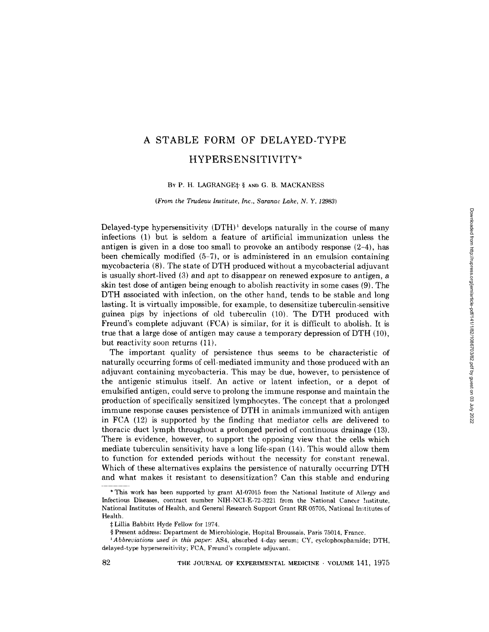BY P. H. LAGRANGE‡ § AND G. B. MACKANESS

(From the Trudeau Institute, Inc., Saranac Lake, N. Y. 12983)

Delayed-type hypersensitivity (DTH) <sup>1</sup> develops naturally in the course of many infections (1) but is seldom a feature of artificial immunization unless the antigen is given in a dose too small to provoke an antibody response (2-4), has been chemically modified (5-7), or is administered in an emulsion containing mycobacteria (8) . The state of DTH produced without a mycobacterial adjuvant is usually short-lived (3) and apt to disappear on renewed exposure to antigen, a skin test dose of antigen being enough to abolish reactivity in some cases (9) . The DTH associated with infection, on the other hand, tends to be stable and long lasting. It is virtually impossible, for example, to desensitize tuberculin-sensitive guinea pigs by injections of old tuberculin (10) . The DTH produced with Freund's complete adjuvant (FCA) is similar, for it is difficult to abolish. It is true that <sup>a</sup> large dose of antigen may cause <sup>a</sup> temporary depression of DTH (10), but reactivity soon returns  $(11)$ .

The important quality of persistence thus seems to be characteristic of naturally occurring forms of cell-mediated immunity and those produced with an adjuvant containing mycobacteria . This may be due, however, to persistence of the antigenic stimulus itself. An active or latent infection, or a depot of emulsified antigen, could serve to prolong the immune response and maintain the production of specifically sensitized lymphocytes. The concept that a prolonged immune response causes persistence of DTH in animals immunized with antigen in FCA (12) is supported by the finding that mediator cells are delivered to thoracic duct lymph throughout a prolonged period of continuous drainage (13) . There is evidence, however, to support the opposing view that the cells which mediate tuberculin sensitivity have a long life-span (14) . This would allow them to function for extended periods without the necessity for constant renewal . Which of these alternatives explains the persistence of naturally occurring DTH and what makes it resistant to desensitization? Can this stable and enduring

<sup>\*</sup> This work has been supported by grant AI-07015 from the National Institute of Allergy and Infectious Diseases, contract number NIH-NCI-E-72-3221 from the National Cancer Institute, National Institutes of Health, and General Research Support Grant RR 05705, National Institutes of Health.

t Lillia Babbitt Hyde Fellow for 1974 .

<sup>§</sup> Present address: Department de Microbiologie, Hopital Broussais, Paris 75014, France,

<sup>&</sup>lt;sup>1</sup>Abbreviations used in this paper: AS4, absorbed 4-day serum; CY, cyclophosphamide; DTH, delayed-type hypersensitivity; FCA, Freund's complete adjuvant.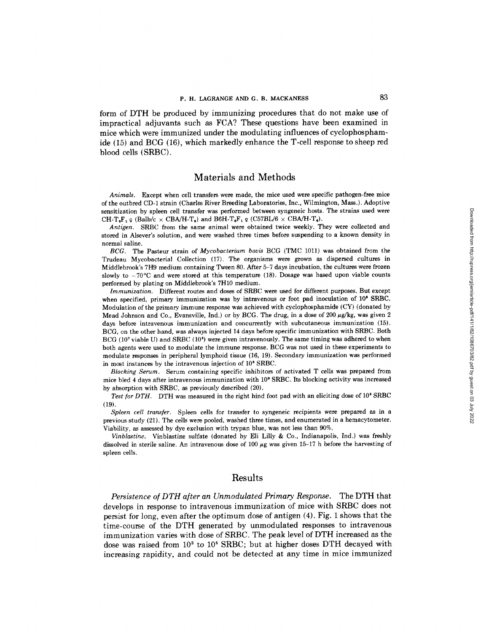form of DTH be produced by immunizing procedures that do not make use of impractical adjuvants such as FCA? These questions have been examined in mice which were immunized under the modulating influences of cyclophosphamide (15) and BCG (16), which markedly enhance the T-cell response to sheep red blood cells (SRBC) .

# Materials and Methods

Animals. Except when cell transfers were made, the mice used were specific pathogen-free mice of the outbred CD-1 strain (Charles River Breeding Laboratories, Inc., Wilmington, Mass.) . Adoptive sensitization by spleen cell transfer was performed between syngeneic hosts. The strains used were CH-T<sub>6</sub>F<sub>1</sub>  $\varphi$  (Balb/c  $\times$  CBA/H-T<sub>6</sub>) and B6H-T<sub>6</sub>F<sub>1</sub>  $\varphi$  (C57BL/6  $\times$  CBA/H-T<sub>6</sub>).

Antigen. SRBC from the same animal were obtained twice weekly . They were collected and stored in Alsever's solution, and were washed three times before suspending to a known density in normal saline .

BCG The Pasteur strain of Mycobacterium bouis BCG (TMC 1011) was obtained from the Trudeau Mycobacterial Collection (17) . The organisms were grown as dispersed cultures in Middlebrook's 7H9 medium containing Tween <sup>80</sup> . After 5-7 days incubation, the cultures were frozen slowly to  $-70^{\circ}\text{C}$  and were stored at this temperature (18). Dosage was based upon viable counts performed by plating on Middlebrook's 7H10 medium.

Immunization. Different routes and doses of SRBC were used for different purposes. But except when specified, primary immunization was by intravenous or foot pad inoculation of 10<sup>8</sup> SRBC. Modulation of the primary immune response was achieved with cyclophosphamide (CY) (donated by Mead Johnson and Co., Evansville, Ind.) or by BCG. The drug, in a dose of 200 µg/kg, was given 2 days before intravenous immunization and concurrently with subcutaneous immunization (15) . BCG, on the other hand, was always injected <sup>14</sup> days before specific immunization with SRBC. Both BCG (10' viable U) and SRBC (10') were given intravenously. The same timing was adhered to when both agents were used to modulate the immune response . BCG was not used in these experiments to modulate responses in peripheral lymphoid tissue (16, 19) . Secondary immunization was performed in most instances by the intravenous injection of  $10<sup>8</sup>$  SRBC.

Blocking Serum . Serum containing specific inhibitors of activated T cells was prepared from mice bled 4 days after intravenous immunization with 10° SRBC. Its blocking activity was increased by absorption with SRBC, as previously described (20) .

Test for DTH. DTH was measured in the right hind foot pad with an eliciting dose of 10° SRBC  $(19)$ 

Spleen cell transfer. Spleen cells for transfer to syngeneic recipients were prepared as in a previous study (21) . The cells were pooled, washed three times, and enumerated in a hemacytometer. Viability, as assessed by dye exclusion with trypan blue, was not less than 90%.

Vinblastine. Vinblastine sulfate (donated by Eli Lilly & Co., Indianapolis, Ind.) was freshly dissolved in sterile saline. An intravenous dose of  $100 \mu$ g was given 15-17 h before the harvesting of spleen cells.

## Results

Persistence of DTH after an Unmodulated Primary Response. The DTH that develops in response to intravenous immunization of mice with SRBC does not persist for long, even after the optimum dose of antigen (4) . Fig. 1 shows that the time-course of the DTH generated by unmodulated responses to intravenous immunization varies with dose of SRBC . The peak level of DTH increased as the dose was raised from 10<sup>3</sup> to 10<sup>5</sup> SRBC; but at higher doses DTH decayed with increasing rapidity, and could not be detected at any time in mice immunized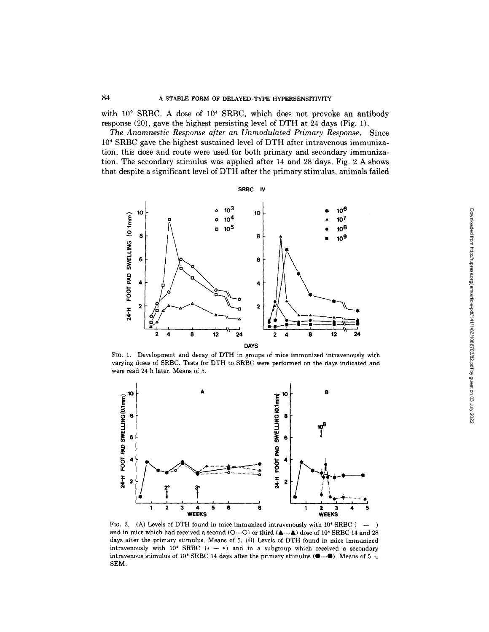with  $10^9$  SRBC. A dose of  $10^4$  SRBC, which does not provoke an antibody response  $(20)$ , gave the highest persisting level of DTH at 24 days (Fig. 1).

The Anamnestic Response after an Unmodulated Primary Response. Since 10' SRBC gave the highest sustained level of DTH after intravenous immunization, this dose and route were used for both primary and secondary immunization. The secondary stimulus was applied after 14 and 28 days. Fig. 2 A shows that despite <sup>a</sup> significant level of DTH after the primary stimulus, animals failed



FIG. 1. Development and decay of DTH in groups of mice immunized intravenously with varying doses of SRBC. Tests for DTH to SRBC were performed on the days indicated and were read 24 h later. Means of 5.



FIG. 2. (A) Levels of DTH found in mice immunized intravenously with  $10^4$  SRBC ( - ) and in mice which had received a second (O---O) or third  $(A \cdots A)$  dose of 10<sup>\*</sup> SRBC 14 and 28 days after the primary stimulus. Means of 5. (B) Levels of DTH found in mice immunized intravenously with  $10^*$  SRBC  $(* - *)$  and in a subgroup which received a secondary intravenous stimulus of 10<sup>°</sup> SRBC 14 days after the primary stimulus ( $\bullet$ -- $\bullet$ ). Means of 5  $\pm$  SEM.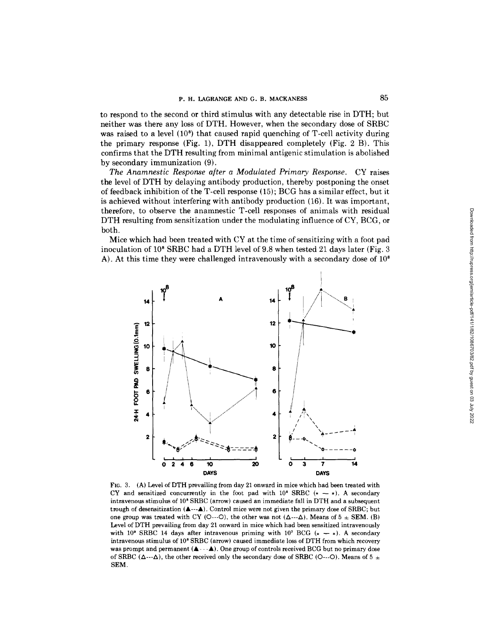to respond to the second or third stimulus with any detectable rise in DTH; but neither was there any loss of DTH. However, when the secondary dose of SRBC was raised to a level  $(10^{\circ})$  that caused rapid quenching of T-cell activity during the primary response (Fig. 1), DTH disappeared completely (Fig. 2 B). This confirms that the DTH resulting from minimal antigenic stimulation is abolished by secondary immunization (9) .

The Anamnestic Response after a Modulated Primary Response. CY raises the level of DTH by delaying antibody production, thereby postponing the onset of feedback inhibition of the T-cell response (15) ; BCG has a similar effect, but it is achieved without interfering with antibody production (16) . It was important, therefore, to observe the anamnestic T-cell responses of animals with residual DTH resulting from sensitization under the modulating influence of CY, BCG, or both.

Mice which had been treated with CY at the time of sensitizing with a foot pad inoculation of 10<sup>8</sup> SRBC had a DTH level of 9.8 when tested 21 days later (Fig. 3) A). At this time they were challenged intravenously with a secondary dose of  $10^{\circ}$ 



FIG. 3. (A) Level of DTH prevailing from day 21 onward in mice which had been treated with The cycle of DTH prevailing from tay 21 onward in line which had been treated with<br>CY and sensitized concurrently in the foot pad with 10<sup>8</sup> SRBC (\* – \*). A secondary intravenous stimulus of 10<sup>°</sup> SRBC (arrow) caused an immediate fall in DTH and a subsequent trough of desensitization (A---A) . Control mice were not given the primary dose of SRBC; but one group was treated with CY (O...O), the other was not  $(\Delta \cdots \Delta)$ . Means of  $5 \pm \text{SEM}$ . (B) Level of DTH prevailing from day <sup>21</sup> onward in mice which had been sensitized intravenously Even of D I II prevailing from day 21 of ward in fince which had been sensitized intravenously<br>with 10<sup>o</sup> BCG (\* – \*). A secondary<br>intravenous priming with  $10^9$  BCG (\* – \*). A secondary intravenous stimulus of 10<sup>8</sup> SRBC (arrow) caused immediate loss of DTH from which recovery was prompt and permanent  $(A \cdots A)$ . One group of controls received BCG but no primary dose of SRBC ( $\Delta$ --- $\Delta$ ), the other received only the secondary dose of SRBC (O---O). Means of 5  $\pm$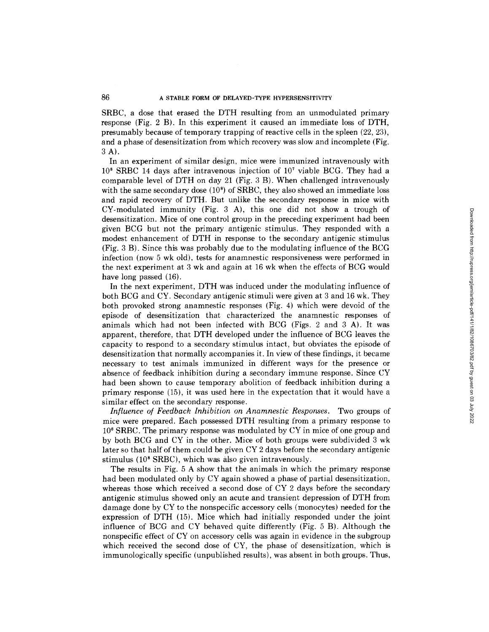SRBC, a dose that erased the DTH resulting from an unmodulated primary response (Fig. 2 B). In this experiment it caused an immediate loss of DTH, presumably because of temporary trapping of reactive cells in the spleen (22, 23), and a phase of desensitization from which recovery was slow and incomplete (Fig.  $3$  A).

In an experiment of similar design, mice were immunized intravenously with 10<sup>8</sup> SRBC 14 days after intravenous injection of 10<sup>7</sup> viable BCG. They had a comparable level of DTH on day 21 (Fig. 3 B). When challenged intravenously with the same secondary dose (10<sup>8</sup>) of SRBC, they also showed an immediate loss and rapid recovery of DTH. But unlike the secondary response in mice with CY-modulated immunity (Fig. 3 A), this one did not show a trough of desensitization. Mice of one control group in the preceding experiment had been given BCG but not the primary antigenic stimulus. They responded with a modest enhancement of DTH in response to the secondary antigenic stimulus (Fig . <sup>3</sup> B) . Since this was probably due to the modulating influence of the BCG infection (now <sup>5</sup> wk old), tests for anamnestic responsiveness were performed in the next experiment at <sup>3</sup> wk and again at <sup>16</sup> wk when the effects of BCG would have long passed  $(16)$ .

In the next experiment, DTH was induced under the modulating influence of both BCG and CY . Secondary antigenic stimuli were given at 3 and 16 wk . They both provoked strong anamnestic responses (Fig . 4) which were devoid of the episode of desensitization that characterized the anamnestic responses of animals which had not been infected with BCG (Figs. <sup>2</sup> and 3 A) . It was apparent, therefore, that DTH developed under the influence of BCG leaves the capacity to respond to a secondary stimulus intact, but obviates the episode of desensitization that normally accompanies it . In view of these findings, it became necessary to test animals immunized in different ways for the presence or absence of feedback inhibition during a secondary immune response. Since CY had been shown to cause temporary abolition of feedback inhibition during a primary response (15), it was used here in the expectation that it would have a similar effect on the secondary response.

Influence of Feedback Inhibition on Anamnestic Responses. Two groups of mice were prepared. Each possessed DTH resulting from a primary response to 10<sup>8</sup> SRBC. The primary response was modulated by CY in mice of one group and by both BCG and CY in the other. Mice of both groups were subdivided 3 wk later so that half of them could be given CY 2 days before the secondary antigenic stimulus  $(10^8 \text{ SRBC})$ , which was also given intravenously.

The results in Fig. 5 A show that the animals in which the primary response had been modulated only by CY again showed a phase of partial desensitization, whereas those which received a second dose of CY 2 days before the secondary antigenic stimulus showed only an acute and transient depression of DTH from damage done by CY to the nonspecific accessory cells (monocytes) needed for the expression of DTH (15) . Mice which had initially responded under the joint influence of BCG and CY behaved quite differently  $(Fig. 5 B)$ . Although the nonspecific effect of CY on accessory cells was again in evidence in the subgroup which received the second dose of CY, the phase of desensitization, which is immunologically specific (unpublished results), was absent in both groups . Thus,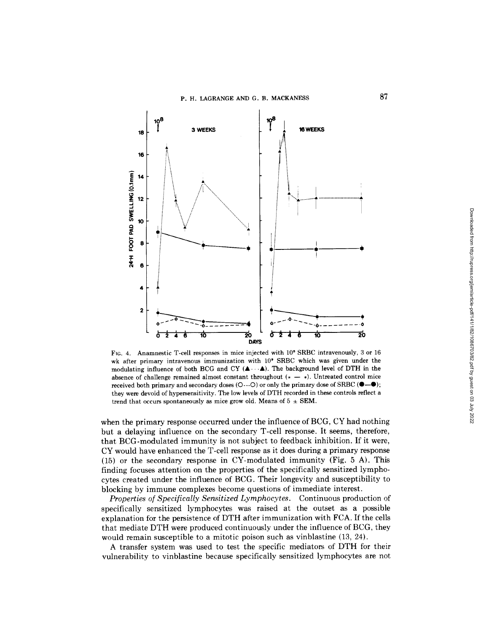

FIG. 4. Anamnestic T-cell responses in mice injected with 10<sup>8</sup> SRBC intravenously, 3 or 16 wk after primary intravenous immunization with 10° SRBC which was given under the modulating influence of both BCG and CY  $(A \cdots A)$ . The background level of DTH in the absence of challenge remained almost constant throughout  $(* - *)$ . Untreated control mice received both primary and secondary doses (O---O) or only the primary dose of SRBC ( $\bullet - \bullet$ ); they were devoid of hypersensitivity . The low levels of DTH recorded in these controls reflect a trend that occurs spontaneously as mice grow old. Means of  $5 \pm \text{SEM}$ .

when the primary response occurred under the influence of BCG, CY had nothing but a delaying influence on the secondary T-cell response . It seems, therefore, that BCG-modulated immunity is not subject to feedback inhibition . If it were, CY would have enhanced the T-cell response as it does during a primary response (15) or the secondary response in CY-modulated immunity (Fig. 5 A) . This finding focuses attention on the properties of the specifically sensitized lymphocytes created under the influence of BCG. Their longevity and susceptibility to blocking by immune complexes become questions of immediate interest .

Properties of Specifically Sensitized Lymphocytes. Continuous production of specifically sensitized lymphocytes was raised at the outset as a possible explanation for the persistence of DTH after immunization with FCA. If the cells that mediate DTH were produced continuously under the influence of BCG, they would remain susceptible to a mitotic poison such as vinblastine (13, 24) .

A transfer system was used to test the specific mediators of DTH for their vulnerability to vinblastine because specifically sensitized lymphocytes are not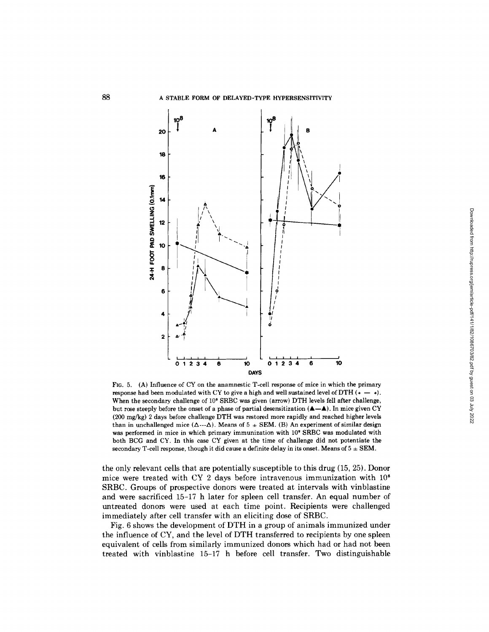

FIG. 5. (A) Influence of CY on the anamnestic T-cell response of mice in which the primary response had been modulated with CY to give a high and well sustained level of DTH  $(* - *)$ . When the secondary challenge of  $10<sup>8</sup>$  SRBC was given (arrow) DTH levels fell after challenge, but rose steeply before the onset of a phase of partial desensitization  $(\triangle -\triangle)$ . In mice given CY (200 mg/kg) <sup>2</sup> days before challenge DTH was restored more rapidly and reached higher levels than in unchallenged mice ( $\Delta$ --- $\Delta$ ). Means of 5  $\pm$  SEM. (B) An experiment of similar design was performed in mice in which primary immunization with 10° SRBC was modulated with both BCG and CY. In this case CY given at the time of challenge did not potentiate the secondary T-cell response, though it did cause a definite delay in its onset. Means of  $5 \pm \text{SEM}$ .

the only relevant cells that are potentially susceptible to this drug (15, 25) . Donor mice were treated with CY 2 days before intravenous immunization with  $10<sup>8</sup>$ SRBC. Groups of prospective donors were treated at intervals with vinblastine and were sacrificed 15-17 h later for spleen cell transfer . An equal number of untreated donors were used at each time point. Recipients were challenged immediately after cell transfer with an eliciting dose of SRBC.

Fig. <sup>6</sup> shows the development of DTH in <sup>a</sup> group of animals immunized under the influence of CY, and the level of DTH transferred to recipients by one spleen equivalent of cells from similarly immunized donors which had or had not been treated with vinblastine 15-17 h before cell transfer. Two distinguishable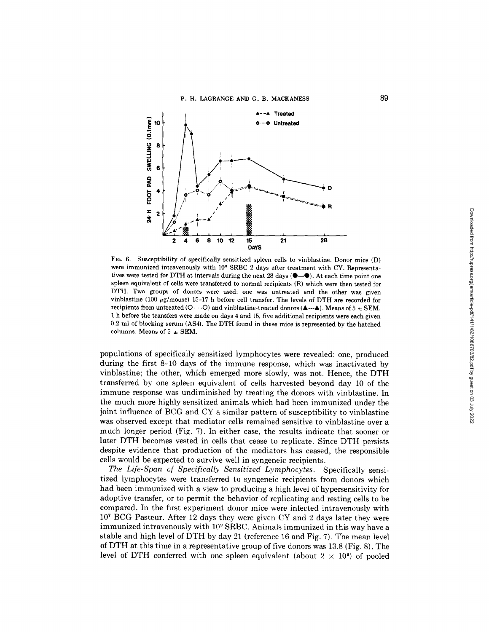

FIG. 6. Susceptibility of specifically sensitized spleen cells to vinblastine. Donor mice (D) were immunized intravenously with  $10<sup>8</sup>$  SRBC 2 days after treatment with CY. Representatives were tested for DTH at intervals during the next 28 days  $(\bullet - \bullet)$ . At each time point one spleen equivalent of cells were transferred to normal recipients (R) which were then tested for DTH. Two groups of donors were used: one was untreated and the other was given vinblastine (100  $\mu$ g/mouse) 15-17 h before cell transfer. The levels of DTH are recorded for recipients from untreated (O  $\cdots$  O) and vinblastine-treated donors ( $\blacktriangle \cdots \blacktriangle$ ). Means of 5  $\pm$  SEM.<br>1 h before the transfers were made on days 4 and 15, five additional recipients were each given 0.2 ml of blocking serum (AS4). The DTH found in these mice is represented by the hatched columns. Means of  $5 \pm$  SEM.

populations of specifically sensitized lymphocytes were revealed: one, produced during the first 8-10 days of the immune response, which was inactivated by vinblastine; the other, which emerged more slowly, was not. Hence, the DTH transferred by one spleen equivalent of cells harvested beyond day 10 of the immune response was undiminished by treating the donors with vinblastine. In the much more highly sensitized animals which had been immunized under the joint influence of BCG and CY a similar pattern of susceptibility to vinblastine was observed except that mediator cells remained sensitive to vinblastine over a much longer period (Fig. 7). In either case, the results indicate that sooner or later DTH becomes vested in cells that cease to replicate. Since DTH persists despite evidence that production of the mediators has ceased, the responsible cells would be expected to survive well in syngeneic recipients .

The Life-Span of Specifically Sensitized Lymphocytes. Specifically sensitized lymphocytes were transferred to syngeneic recipients from donors which had been immunized with a view to producing a high level of hypersensitivity for adoptive transfer, or to permit the behavior of replicating and resting cells to be compared . In the first experiment donor mice were infected intravenously with 10' BCG Pasteur After <sup>12</sup> days they were given CY and 2 days later they were immunized intravenously with <sup>10</sup><sup>9</sup> SRBC . Animals immunized in this way have a stable and high level of DTH by day <sup>21</sup> (reference <sup>16</sup> and Fig. 7) . The mean level of DTH at this time in a representative group of five donors was 13.8 (Fig . 8) . The level of DTH conferred with one spleen equivalent (about  $2 \times 10^8$ ) of pooled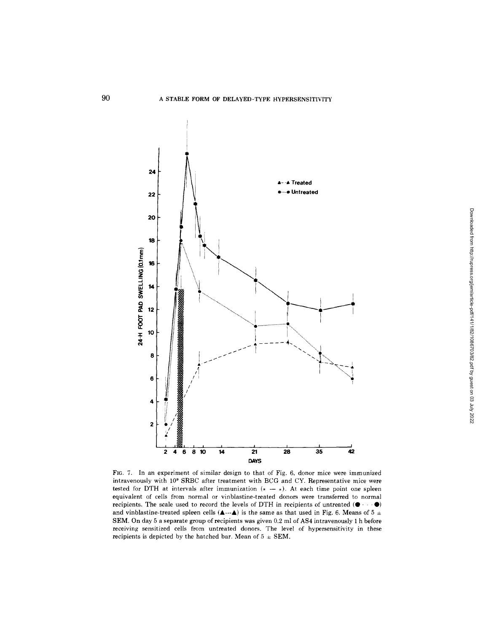

FIG. 7. In an experiment of similar design to that of Fig. 6, donor mice were immunized intravenously with 10° SRBC after treatment with BCG and CY. Representative mice were tested for DTH at intervals after immunization  $(* - *)$ . At each time point one spleen equivalent of cells from normal or vinblastine-treated donors were transferred to normal recipients. The scale used to record the levels of DTH in recipients of untreated  $( \bullet \cdot \cdot \cdot \bullet)$ and vinblastine-treated spleen cells ( $\blacktriangle \cdots \blacktriangle$ ) is the same as that used in Fig. 6. Means of 5  $\pm$ SEM. On day 5 a separate group of recipients was given 0.2 ml of AS4 intravenously <sup>1</sup> h before receiving sensitized cells from untreated donors. The level of hypersensitivity in these recipients is depicted by the hatched bar. Mean of  $5 \pm$  SEM.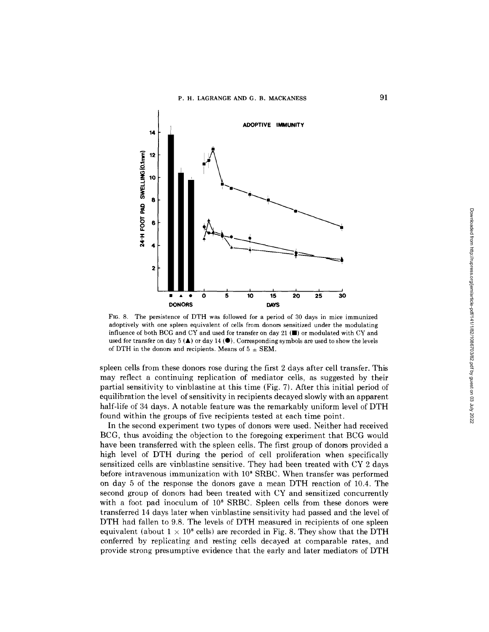

FIG. 8. The persistence of DTH was followed for a period of 30 days in mice immunized adoptively with one spleen equivalent of cells from donors sensitized under the modulating influence of both BCG and CY and used for transfer on day 21  $(\blacksquare)$  or modulated with CY and used for transfer on day 5 ( $\blacktriangle$ ) or day 14 ( $\blacklozenge$ ). Corresponding symbols are used to show the levels of DTH in the donors and recipients. Means of  $5 \pm \text{SEM}$ .

spleen cells from these donors rose during the first 2 days after cell transfer. This may reflect <sup>a</sup> continuing replication of mediator cells, as suggested by their partial sensitivity to vinblastine at this time (Fig . 7) . After this initial period of equilibration the level of sensitivity in recipients decayed slowly with an apparent half-life of 34 days. A notable feature was the remarkably uniform level of DTH found within the groups of five recipients tested at each time point.

In the second experiment two types of donors were used . Neither had received BCG, thus avoiding the objection to the foregoing experiment that BCG would have been transferred with the spleen cells. The first group of donors provided a high level of DTH during the period of cell proliferation when specifically sensitized cells are vinblastine sensitive . They had been treated with CY 2 days before intravenous immunization with 10<sup>8</sup> SRBC. When transfer was performed on day 5 of the response the donors gave a mean DTH reaction of 10.4. The second group of donors had been treated with CY and sensitized concurrently with a foot pad inoculum of  $10^8$  SRBC. Spleen cells from these donors were transferred <sup>14</sup> days later when vinblastine sensitivity had passed and the level of DTH had fallen to 9.8. The levels of DTH measured in recipients of one spleen equivalent (about  $1 \times 10^8$  cells) are recorded in Fig. 8. They show that the DTH conferred by replicating and resting cells decayed at comparable rates, and provide strong presumptive evidence that the early and later mediators of DTH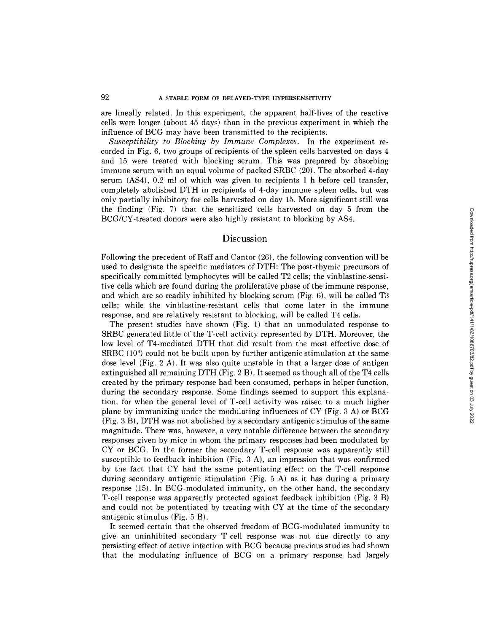are lineally related. In this experiment, the apparent half-lives of the reactive cells were longer (about 45 days) than in the previous experiment in which the influence of BCG may have been transmitted to the recipients .

Susceptibility to Blocking by Immune Complexes. In the experiment recorded in Fig. 6, two groups of recipients of the spleen cells harvested on days 4 and 15 were treated with blocking serum . This was prepared by absorbing immune serum with an equal volume of packed SRBC (20) . The absorbed 4-day serum (AS4), 0.2 ml of which was given to recipients 1 h before cell transfer, completely abolished DTH in recipients of 4-day immune spleen cells, but was only partially inhibitory for cells harvested on day 15 . More significant still was the finding  $(Fig. 7)$  that the sensitized cells harvested on day 5 from the BCG/CY-treated donors were also highly resistant to blocking by AS4.

## Discussion

Following the precedent of Raff and Cantor (26), the following convention will be used to designate the specific mediators of DTH: The post-thymic precursors of specifically committed lymphocytes will be called T2 cells; the vinblastine-sensitive cells which are found during the proliferative phase of the immune response, and which are so readily inhibited by blocking serum (Fig.  $6$ ), will be called T3 cells; while the vinblastine-resistant. cells that come later in the immune response, and are relatively resistant to blocking, will be called T4 cells.

The present studies have shown  $(Fig, 1)$  that an unmodulated response to SRBC generated little of the T-cell activity represented by DTH. Moreover, the low level of T4-mediated DTH that did result from the most effective dose of SRBC (10<sup>4</sup>) could not be built upon by further antigenic stimulation at the same dose level (Fig. 2 A). It was also quite unstable in that a larger dose of antigen extinguished all remaining DTH (Fig. 2 B). It seemed as though all of the T4 cells created by the primary response had been consumed, perhaps in helper function, during the secondary response. Some findings seemed to support this explanation, for when the general level of T-cell activity was raised to a much higher plane by immunizing under the modulating influences of  $CY$  (Fig. 3 A) or BCG (Fig. 3 B), DTH was not abolished by a secondary antigenic stimulus of the same magnitude . There was, however, a very notable difference between the secondary responses given by mice in whom the primary responses had been modulated by CY or BCG. In the former the secondary T-cell response was apparently still susceptible to feedback inhibition (Fig.  $3$  A), an impression that was confirmed by the fact that CY had the same potentiating effect on the T-cell response during secondary antigenic stimulation (Fig. 5 A) as it has during a primary response (15) . In BCG-modulated immunity, on the other hand, the secondary T-cell response was apparently protected against feedback inhibition (Fig. 3 B) and could not be potentiated by treating with CY at the time of the secondary antigenic stimulus (Fig.  $5 \text{ B}$ ).

It seemed certain that the observed freedom of BCG-modulated immunity to give an uninhibited secondary T-cell response was not due directly to any persisting effect of active infection with BCG because previous studies had shown that the modulating influence of BCG on a primary response had largely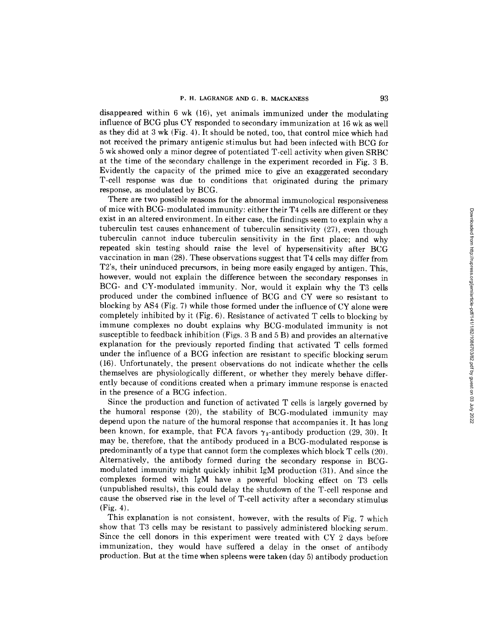disappeared within 6 wk (16), yet animals immunized under the modulating influence of BCG plus CY responded to secondary immunization at <sup>16</sup> wk as well as they did at 3 wk (Fig . 4) . It should be noted, too, that control mice which had not received the primary antigenic stimulus but had been infected with BCG for <sup>5</sup> wk showed only <sup>a</sup> minor degree of potentiated T-cell activity when given SRBC at the time of the secondary challenge in the experiment recorded in Fig. 3 B.<br>Fuidantly the expective of the universe Evidently the capacity of the primed mice to give an exaggerated secondary T-cell response was due to conditions that originated during the primary response, as modulated by BCG.

There are two possible reasons for the abnormal immunological responsiveness of mice with BCG-modulated immunity : either their T4 cells are different or they exist in an altered environment. In either case, the findings seem to explain why a tuberculin test causes enhancement of tuberculin sensitivity (27), even though tuberculin cannot induce tuberculin sensitivity in the first place; and why repeated skin testing should raise the level of hypersensitivity after BCG vaccination in man (28) . These observations suggest that T4 cells may differ from T2's, their uninduced precursors, in being more easily engaged by antigen. This, however, would not explain the difference between the secondary responses in BCG- and CY-modulated immunity. Nor, would it explain why the T3 cells produced under the combined influence of BCG and CY were so resistant to blocking by AS4 (Fig. 7) while those formed under the influence of CY alone were completely inhibited by it (Fig. 6) . Resistance of activated T cells to blocking by immune complexes no doubt explains why BCG-modulated immunity is not susceptible to feedback inhibition (Figs. 3 B and 5 B) and provides an alternative explanation for the previously reported finding that activated T cells formed under the influence of a BCG infection are resistant to specific blocking serum (16) . Unfortunately, the present observations do not indicate whether the cells themselves are physiologically different, or whether they merely behave differently because of conditions created when a primary immune response is enacted in the presence of a BCG infection.

Since the production and function of activated T cells is largely governed by the humoral response (20), the stability of BCG-modulated immunity may depend upon the nature of the humoral response that accompanies it. It has long been known, for example, that FCA favors  $\gamma_2$ -antibody production (29, 30). It may be, therefore, that the antibody produced in a BCG-modulated response is predominantly of a type that cannot form the complexes which block T cells (20). Alternatively, the antibody formed during the secondary response in BCGmodulated immunity might quickly inhibit IgM production (31) . And since the complexes formed with IgM have a powerful blocking effect on T3 cells (unpublished results), this could delay the shutdown of the T-cell response and cause the observed rise in the level of T-cell activity after a secondary stimulus  $(Fig. 4)$ .

This explanation is not consistent, however, with the results of Fig. 7 which show that T3 cells may be resistant to passively administered blocking serum. Since the cell donors in this experiment were treated with CY 2 days before immunization, they would have suffered a delay in the onset of antibody production. But at the time when spleens were taken (day 5) antibody production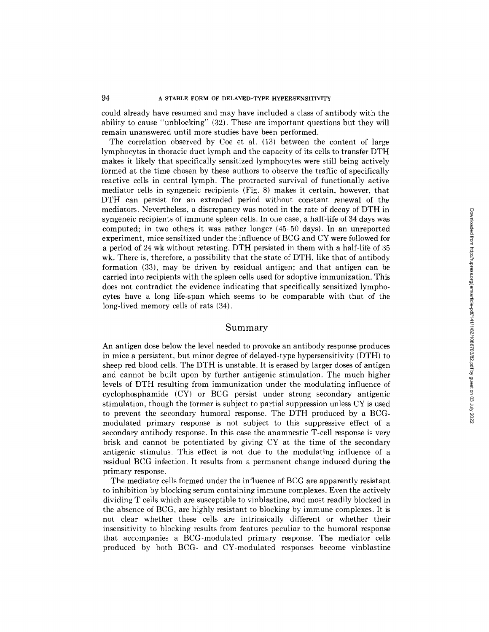could already have resumed and may have included a class of antibody with the ability to cause "unblocking" (32). These are important questions but they will remain unanswered until more studies have been performed .

The correlation observed by Coe et al. (13) between the content of large lymphocytes in thoracic duct lymph and the capacity of its cells to transfer DTH makes it likely that specifically sensitized lymphocytes were still being actively formed at the time chosen by these authors to observe the traffic of specifically reactive cells in central lymph. The protracted survival of functionally active mediator cells in syngeneic recipients (Fig . 8) makes it certain, however, that DTH can persist for an extended period without constant renewal of the mediators . Nevertheless, <sup>a</sup> discrepancy was noted in the rate of decay of DTH in syngeneic recipients of immune spleen cells. In one case, a half-life of 34 days was computed; in two others it was rather longer (45-50 days). In an unreported experiment, mice sensitized under the influence of BCG and CY were followed for <sup>a</sup> period of <sup>24</sup> wk without retesting. DTH persisted in them with <sup>a</sup> half-life of <sup>35</sup> wk. There is, therefore, a possibility that the state of DTH, like that of antibody formation (33), may be driven by residual antigen ; and that antigen can be carried into recipients with the spleen cells used for adoptive immunization . This does not contradict the evidence indicating that specifically sensitized lymphocytes have a long life-span which seems to be comparable with that of the long-lived memory cells of rats  $(34)$ .

# Summary

An antigen dose below the level needed to provoke an antibody response produces in mice a persistent, but minor degree of delayed-type hypersensitivity (DTH) to sheep red blood cells. The DTH is unstable. It is erased by larger doses of antigen and cannot be built upon by further antigenic stimulation . The much higher levels of DTH resulting from immunization under the modulating influence of cyclophosphamide (CY) or BCG persist under strong secondary antigenic stimulation, though the former is subject to partial suppression unless CY is used to prevent the secondary humoral response . The DTH produced by a BCGmodulated primary response is not subject to this suppressive effect of a secondary antibody response. In this case the anamnestic T-cell response is very brisk and cannot be potentiated by giving CY at the time of the secondary antigenic stimulus. This effect is not due to the modulating influence of a residual BCG infection. It results from a permanent change induced during the primary response .

The mediator cells formed under the influence of BCG are apparently resistant to inhibition by blocking serum containing immune complexes . Even the actively dividing T cells which are susceptible to vinblastine, and most readily blocked in the absence of BCG, are highly resistant to blocking by immune complexes . It is not clear whether these cells are intrinsically different or whether their insensitivity to blocking results from features peculiar to the humoral response that accompanies a BCG-modulated primary response. The mediator cells produced by both BCG- and CY-modulated responses become vinblastine

94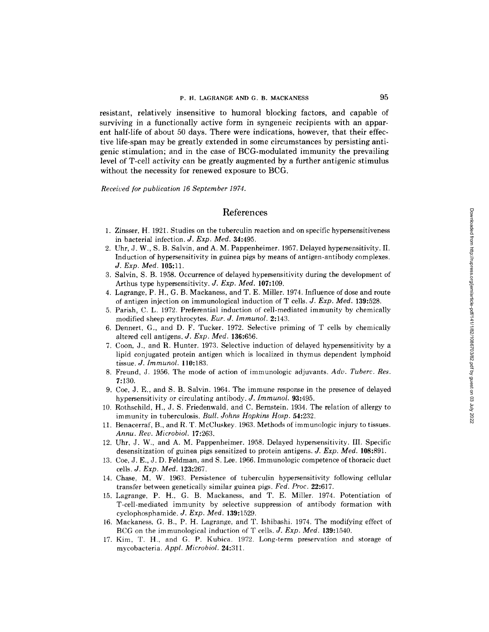resistant, relatively insensitive to humoral blocking factors, and capable of surviving in a functionally active form in syngeneic recipients with an apparent half-life of about 50 days. There were indications, however, that their effective life-span may be greatly extended in some circumstances by persisting antigenic stimulation ; and in the case of BCG-modulated immunity the prevailing level of T-cell activity can be greatly augmented by a further antigenic stimulus without the necessity for renewed exposure to BCG. P. H. LAGRANGE AND G.<br>
resistant, relatively insensitive to humora<br>
surviving in a functionally active form in<br>
ent half-life of about 50 days. There were in<br>
tive life-span may be greatly extended in so<br>
genic stimulation

## References

- 1. Zinsser, H. 1921. Studies on the tuberculin reaction and on specific hypersensitiveness in bacterial infection.  $J. Exp. Med. 34:495.$
- 2. Uhr, J. W., S. B. Salvin, and A. M. Pappenheimer. 1957. Delayed hypersensitivity. II. Induction of hypersensitivity in guinea pigs by means of antigen-antibody complexes.  $J. Exp. Med. 105:11.$
- 3. Salvin, S. B. 1958. Occurrence of delayed hypersensitivity during the development of Arthus type hypersensitivity.  $J. Exp. Med. 107:109$ .
- 4. Lagrange, P. H., G . B . Mackaness, and T. E Miller . 1974. Influence of dose and route of antigen injection on immunological induction of T cells. J. Exp. Med. 139:528.
- 5. Parish, C. L . <sup>1972</sup> . Preferential induction of cell-mediated immunity by chemically modified sheep erythrocytes. Eur. J. Immunol. 2:143.
- 6. Dennert, G., and D. F. Tucker. 1972. Selective priming of T cells by chemically altered cell antigens.  $J. Exp. Med. 136:656$ .
- 7. Coon, J., and R. Hunter. 1973. Selective induction of delayed hypersensitivity by a lipid conjugated protein antigen which is localized in thymus dependent lymphoid tissue . J. Immunol. 110:183. Einser, H. 1921. Studies on the forences.<br>
In hacrenial interction. J. Exp. Med. 34:485.<br>
The, J. W., S. 19. Sakin, and A. M. Pappenberish interaction of the presentativity in guinear pig by means of antigen-antibody comp
- 8. Freund, J. 1956. The mode of action of immunologic adjuvants. Adv. Tuberc. Res. 7:130.
- 9. Coe, J. E., and S. B. Salvin. 1964. The immune response in the presence of delayed hypersensitivity or circulating antibody. J. Immunol. 93:495.
- 10 Rothschild, H., J S. Friedenwald, and C. Bernstein . 1934. The relation of allergy to immunity in tuberculosis. Bull. Johns Hopkins Hosp. 54:232.
- 11. Benacerraf, B., and R. T. McCluskey. 1963. Methods of immunologic injury to tissues. Annu. Rev. Microbiol. 17:263.
- 12. Uhr, J. W., and A. M. Pappenheimer. 1958. Delayed hypersensitivity. III. Specific desensitization of guinea pigs sensitized to protein antigens. J. Exp. Med. 108:891.
- 13 . Coe, <sup>J</sup> . E., <sup>J</sup> . D. Feldman, and S. Lee . 1966 Immunologic competence of thoracic duct cells. J. Exp. Med. 123:267.
- 14. Chase, M. W. 1963. Persistence of tuberculin hypersensitivity following cellular transfer between genetically similar guinea pigs. Fed. Proc. 22:617 .
- 15. Lagrange, P. H., G. B. Mackaness, and T. E. Miller. 1974. Potentiatio n of T-cell-mediated immunity by selective suppression of antibody formation with cyclophosphamide. J. Exp. Med. 139:1529.
- 16. Mackaness, G. B., P. H. Lagrange, and T. Ishibashi. 1974. The modifying effect of BCG on the immunological induction of T cells.  $J. Exp. Med. 139:1540.$
- 17. Kim, T. H., and G. P. Kubica. 1972. Long-term preservation and storage of